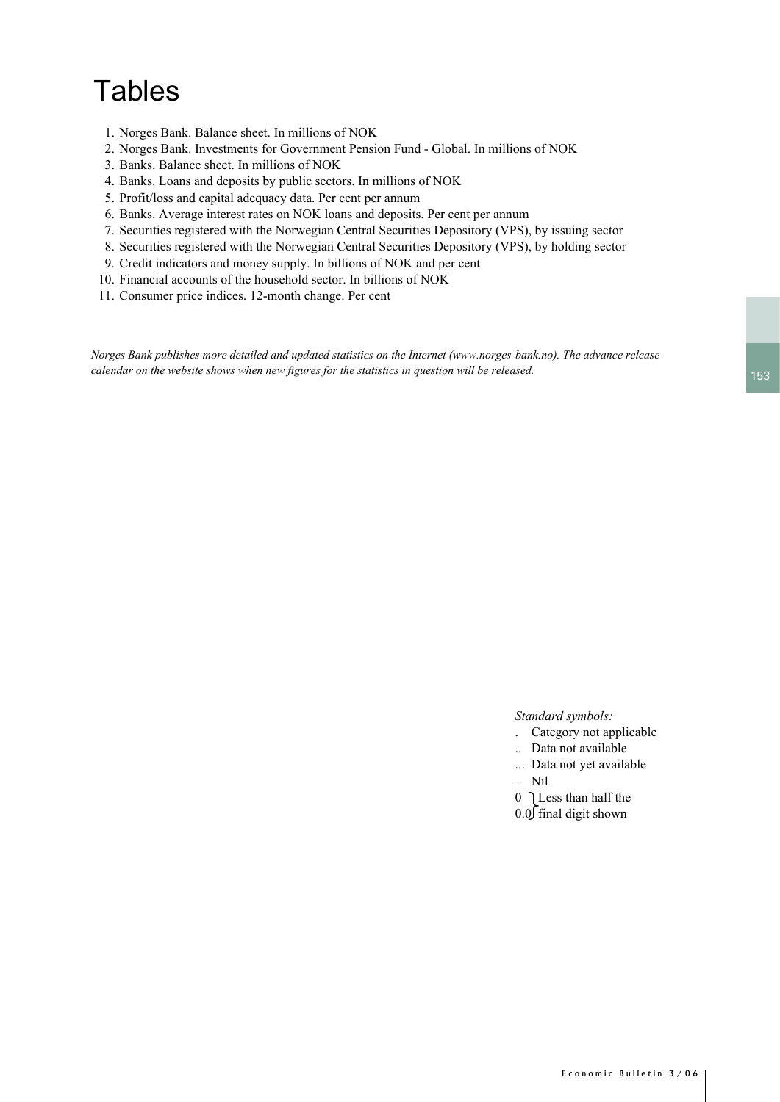# **Tables**

- 1. Norges Bank. Balance sheet. In millions of NOK
- 2. Norges Bank. Investments for Government Pension Fund Global. In millions of NOK
- 3. Banks. Balance sheet. In millions of NOK
- 4. Banks. Loans and deposits by public sectors. In millions of NOK
- 5. Profit/loss and capital adequacy data. Per cent per annum
- 6. Banks. Average interest rates on NOK loans and deposits. Per cent per annum
- 7. Securities registered with the Norwegian Central Securities Depository (VPS), by issuing sector
- 8. Securities registered with the Norwegian Central Securities Depository (VPS), by holding sector
- 9. Credit indicators and money supply. In billions of NOK and per cent
- 10. Financial accounts of the household sector. In billions of NOK
- 11. Consumer price indices. 12-month change. Per cent

*Norges Bank publishes more detailed and updated statistics on the Internet (www.norges-bank.no). The advance release calendar on the website shows when new figures for the statistics in question will be released.*

*Standard symbols:*

- . Category not applicable
- .. Data not available
- ... Data not yet available
- Nil

 $0$  ] Less than half the  $0.0$  final digit shown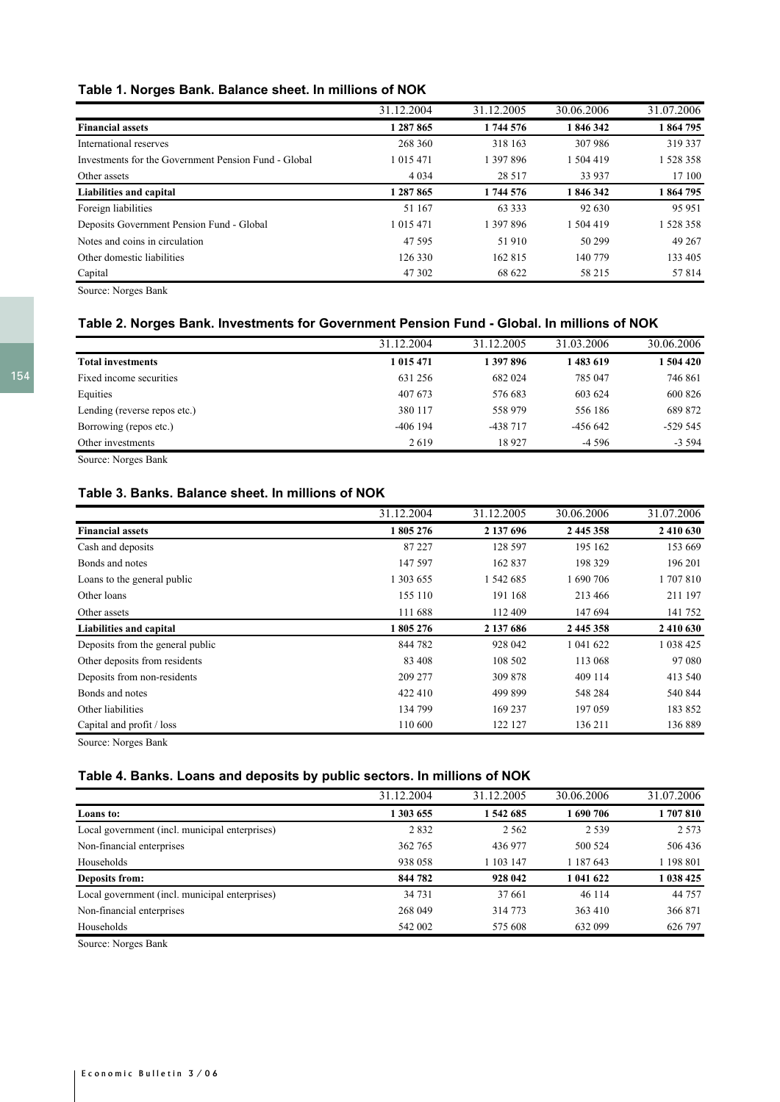## **Table 1. Norges Bank. Balance sheet. In millions of NOK**

|                                                      | 31.12.2004    | 31.12.2005 | 30.06.2006 | 31.07.2006 |
|------------------------------------------------------|---------------|------------|------------|------------|
| <b>Financial assets</b>                              | 1 287 865     | 1744576    | 1846342    | 1864795    |
| International reserves                               | 268 360       | 318 163    | 307986     | 319 337    |
| Investments for the Government Pension Fund - Global | 1 0 1 5 4 7 1 | 1 397 896  | 1 504 419  | 1 528 358  |
| Other assets                                         | 4 0 3 4       | 28 5 17    | 33 937     | 17 100     |
| Liabilities and capital                              | 1 287 865     | 1744576    | 1846342    | 1864795    |
| Foreign liabilities                                  | 51 167        | 63 3 3 3   | 92 630     | 95 951     |
| Deposits Government Pension Fund - Global            | 1 0 1 5 4 7 1 | 1 397 896  | 1 504 419  | 1528358    |
| Notes and coins in circulation                       | 47 595        | 51910      | 50 299     | 49 267     |
| Other domestic liabilities                           | 126 330       | 162 815    | 140 779    | 133 405    |
| Capital                                              | 47 302        | 68 622     | 58 215     | 57814      |

Source: Norges Bank

## **Table 2. Norges Bank. Investments for Government Pension Fund - Global. In millions of NOK**

|                                   | 31.12.2004 | 31.12.2005 | 31.03.2006 | 30.06.2006 |
|-----------------------------------|------------|------------|------------|------------|
| <b>Total investments</b>          | 1 015 471  | 1397896    | 1 483 619  | 1504420    |
| Fixed income securities           | 631 256    | 682 024    | 785 047    | 746 861    |
| Equities                          | 407 673    | 576 683    | 603 624    | 600 826    |
| Lending (reverse repos etc.)      | 380 117    | 558 979    | 556 186    | 689 872    |
| Borrowing (repos etc.)            | $-406$ 194 | -438 717   | $-456642$  | $-529545$  |
| Other investments                 | 2619       | 18927      | $-4.596$   | $-3594$    |
| $\sim$ $\sim$ $\sim$ $\sim$<br>-- |            |            |            |            |

Source: Norges Bank

## **Table 3. Banks. Balance sheet. In millions of NOK**

|                                  | 31.12.2004 | 31.12.2005 | 30.06.2006 | 31.07.2006  |
|----------------------------------|------------|------------|------------|-------------|
| <b>Financial assets</b>          | 1805276    | 2 137 696  | 2 445 358  | 2 4 10 6 30 |
| Cash and deposits                | 87 227     | 128 597    | 195 162    | 153 669     |
| Bonds and notes                  | 147 597    | 162 837    | 198 329    | 196 201     |
| Loans to the general public      | 1 303 655  | 1 542 685  | 1 690 706  | 1707810     |
| Other loans                      | 155 110    | 191 168    | 213466     | 211 197     |
| Other assets                     | 111 688    | 112 409    | 147 694    | 141 752     |
| Liabilities and capital          | 1805276    | 2 137 686  | 2 445 358  | 2 410 630   |
| Deposits from the general public | 844 782    | 928 042    | 1 041 622  | 1 038 425   |
| Other deposits from residents    | 83 408     | 108 502    | 113 068    | 97 080      |
| Deposits from non-residents      | 209 277    | 309 878    | 409 114    | 413 540     |
| Bonds and notes                  | 422 410    | 499 899    | 548 284    | 540 844     |
| Other liabilities                | 134 799    | 169 237    | 197 059    | 183 852     |
| Capital and profit / loss        | 110 600    | 122 127    | 136 211    | 136 889     |

Source: Norges Bank

## **Table 4. Banks. Loans and deposits by public sectors. In millions of NOK**

|                                                | 31.12.2004 | 31.12.2005 | 30.06.2006 | 31.07.2006 |
|------------------------------------------------|------------|------------|------------|------------|
| Loans to:                                      | 1 303 655  | 1 542 685  | 1690706    | 1707810    |
| Local government (incl. municipal enterprises) | 2832       | 2 5 6 2    | 2 5 3 9    | 2.573      |
| Non-financial enterprises                      | 362 765    | 436 977    | 500 524    | 506 436    |
| Households                                     | 938 058    | 1 103 147  | 1 187 643  | 1 198 801  |
| Deposits from:                                 | 844 782    | 928 042    | 1 041 622  | 1038425    |
| Local government (incl. municipal enterprises) | 34 731     | 37 661     | 46 114     | 44 7 5 7   |
| Non-financial enterprises                      | 268 049    | 314 773    | 363 410    | 366 871    |
| Households                                     | 542 002    | 575 608    | 632 099    | 626 797    |

Source: Norges Bank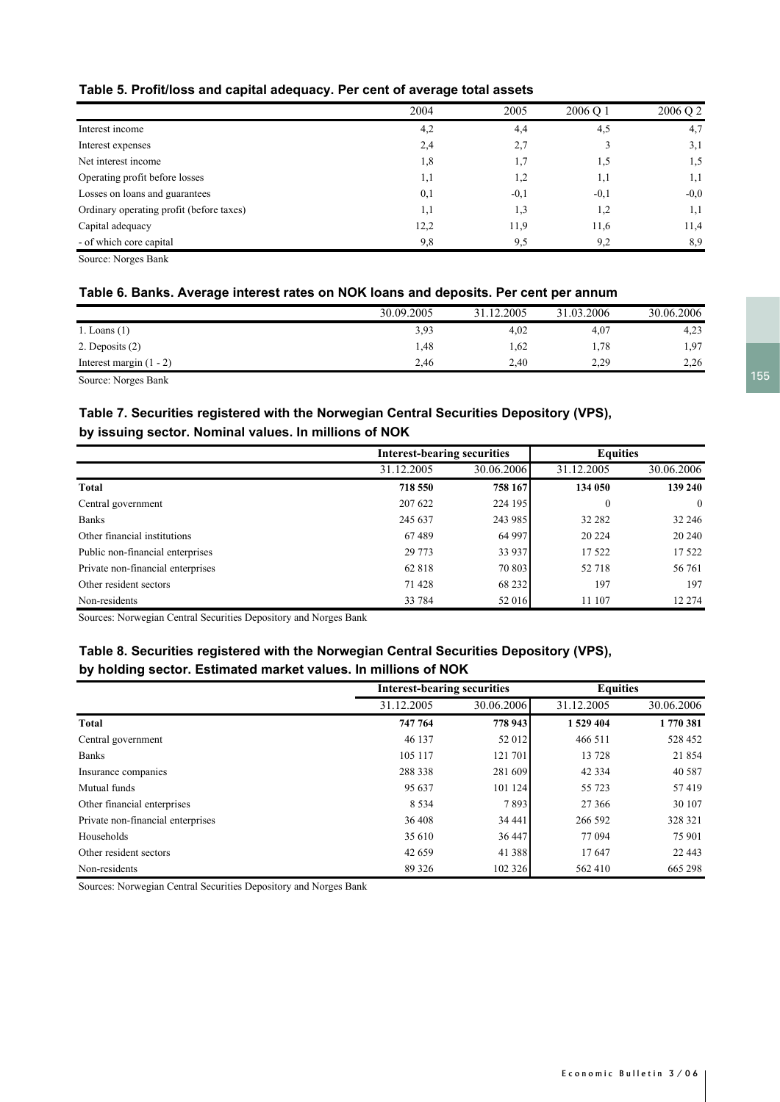|                                          | 2004 | 2005   | 2006 O 1 | 2006 O 2 |
|------------------------------------------|------|--------|----------|----------|
| Interest income                          | 4,2  | 4,4    | 4,5      | 4,7      |
| Interest expenses                        | 2,4  | 2,7    |          | 3,1      |
| Net interest income                      | 1,8  | 1.7    | 1,5      | 1,5      |
| Operating profit before losses           | 1,1  | 1,2    | 1,1      | 1,1      |
| Losses on loans and guarantees           | 0,1  | $-0,1$ | $-0,1$   | $-0,0$   |
| Ordinary operating profit (before taxes) | 1,1  | 1,3    | 1,2      | 1,1      |
| Capital adequacy                         | 12,2 | 11,9   | 11,6     | 11,4     |
| - of which core capital                  | 9,8  | 9,5    | 9,2      | 8,9      |

Source: Norges Bank

## **Table 6. Banks. Average interest rates on NOK loans and deposits. Per cent per annum**

|                           | 30.09.2005 | 31.12.2005 | 31.03.2006 | 30.06.2006 |
|---------------------------|------------|------------|------------|------------|
| 1. Loans $(1)$            | 3,93       | 4,02       | 4,07       | 4,23       |
| 2. Deposits $(2)$         | 1.48       | 1,62       | 1,78       | 1,97       |
| Interest margin $(1 - 2)$ | 2,46       | 2.40       | 2,29       | 2,26       |
| Source: Norges Bank       |            |            |            |            |

## **Table 7. Securities registered with the Norwegian Central Securities Depository (VPS), by issuing sector. Nominal values. In millions of NOK**

|                                   |            | <b>Interest-bearing securities</b> |            | <b>Equities</b> |
|-----------------------------------|------------|------------------------------------|------------|-----------------|
|                                   | 31.12.2005 | 30.06.2006                         | 31.12.2005 | 30.06.2006      |
| Total                             | 718 550    | 758 167                            | 134 050    | 139 240         |
| Central government                | 207 622    | 224 195                            | $\bf{0}$   | $\mathbf{0}$    |
| <b>Banks</b>                      | 245 637    | 243 985                            | 32 28 2    | 32 24 6         |
| Other financial institutions      | 67489      | 64 997                             | 20 224     | 20 240          |
| Public non-financial enterprises  | 29 773     | 33 937                             | 17522      | 17 5 22         |
| Private non-financial enterprises | 62 818     | 70 803                             | 52 718     | 56 761          |
| Other resident sectors            | 71 428     | 68 232                             | 197        | 197             |
| Non-residents                     | 33 784     | 52 016                             | 11 107     | 12 274          |

Sources: Norwegian Central Securities Depository and Norges Bank

## **Table 8. Securities registered with the Norwegian Central Securities Depository (VPS), by holding sector. Estimated market values. In millions of NOK**

|                                   | <b>Interest-bearing securities</b> |            |            | <b>Equities</b> |
|-----------------------------------|------------------------------------|------------|------------|-----------------|
|                                   | 31.12.2005                         | 30.06.2006 | 31.12.2005 | 30.06.2006      |
| <b>Total</b>                      | 747 764                            | 778 943    | 1529404    | 1770381         |
| Central government                | 46 137                             | 52 012     | 466 511    | 528 452         |
| <b>Banks</b>                      | 105 117                            | 121 701    | 13728      | 21854           |
| Insurance companies               | 288 338                            | 281 609    | 42 3 3 4   | 40 5 87         |
| Mutual funds                      | 95 637                             | 101 124    | 55 723     | 57419           |
| Other financial enterprises       | 8 5 3 4                            | 7893       | 27 36 6    | 30 107          |
| Private non-financial enterprises | 36 408                             | 34 44 1    | 266 592    | 328 321         |
| Households                        | 35 610                             | 36 447     | 77 094     | 75 901          |
| Other resident sectors            | 42 659                             | 41 388     | 17647      | 22 4 43         |
| Non-residents                     | 89 3 26                            | 102 326    | 562 410    | 665 298         |

Sources: Norwegian Central Securities Depository and Norges Bank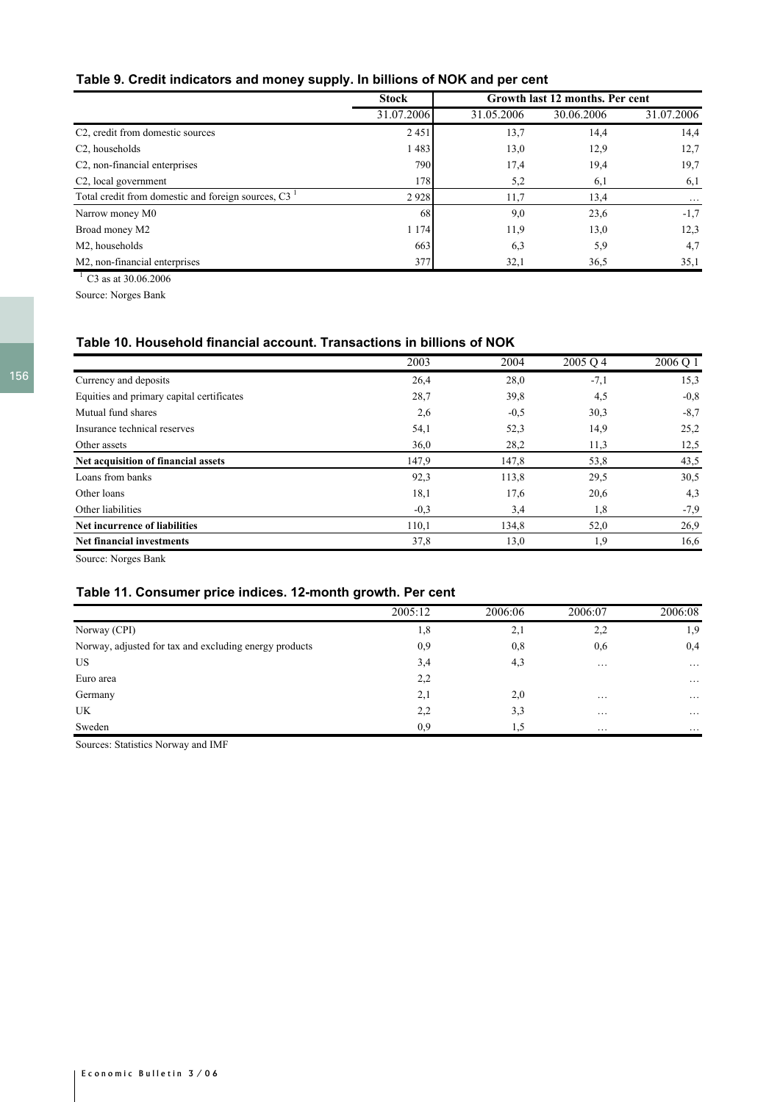## **Table 9. Credit indicators and money supply. In billions of NOK and per cent**

|                                                    | <b>Stock</b> | Growth last 12 months. Per cent |            |            |
|----------------------------------------------------|--------------|---------------------------------|------------|------------|
|                                                    | 31.07.2006   | 31.05.2006                      | 30.06.2006 | 31.07.2006 |
| C <sub>2</sub> , credit from domestic sources      | 2451         | 13,7                            | 14,4       | 14,4       |
| C <sub>2</sub> , households                        | 1483         | 13,0                            | 12,9       | 12,7       |
| C <sub>2</sub> , non-financial enterprises         | 790          | 17,4                            | 19,4       | 19,7       |
| C <sub>2</sub> , local government                  | 178          | 5,2                             | 6,1        | 6,1        |
| Total credit from domestic and foreign sources, C3 | 2928         | 11,7                            | 13,4       | $\cdots$   |
| Narrow money M0                                    | 68           | 9,0                             | 23,6       | $-1,7$     |
| Broad money M2                                     | 1 1 7 4      | 11.9                            | 13,0       | 12,3       |
| M2, households                                     | 663          | 6,3                             | 5,9        | 4,7        |
| M2, non-financial enterprises                      | 377          | 32,1                            | 36,5       | 35,1       |

 $1 \overline{\text{C3}}$  as at 30.06.2006 Source: Norges Bank

## **Table 10. Household financial account. Transactions in billions of NOK**

|                                           | 2003   | 2004   | 2005 Q 4 | 2006 Q 1 |
|-------------------------------------------|--------|--------|----------|----------|
| Currency and deposits                     | 26,4   | 28,0   | $-7,1$   | 15,3     |
| Equities and primary capital certificates | 28,7   | 39,8   | 4,5      | $-0.8$   |
| Mutual fund shares                        | 2,6    | $-0,5$ | 30,3     | $-8.7$   |
| Insurance technical reserves              | 54,1   | 52,3   | 14,9     | 25,2     |
| Other assets                              | 36,0   | 28,2   | 11,3     | 12,5     |
| Net acquisition of financial assets       | 147,9  | 147,8  | 53,8     | 43,5     |
| Loans from banks                          | 92,3   | 113,8  | 29,5     | 30,5     |
| Other loans                               | 18,1   | 17,6   | 20,6     | 4,3      |
| Other liabilities                         | $-0,3$ | 3,4    | 1,8      | $-7,9$   |
| Net incurrence of liabilities             | 110,1  | 134,8  | 52,0     | 26,9     |
| <b>Net financial investments</b>          | 37,8   | 13,0   | 1,9      | 16,6     |

Source: Norges Bank

## **Table 11. Consumer price indices. 12-month growth. Per cent**

|                                                        | 2005:12 | 2006:06 | 2006:07  | 2006:08             |
|--------------------------------------------------------|---------|---------|----------|---------------------|
| Norway (CPI)                                           | 1,8     | 2,1     | 2,2      | 1,9                 |
| Norway, adjusted for tax and excluding energy products | 0,9     | 0,8     | 0,6      | 0,4                 |
| <b>US</b>                                              | 3,4     | 4,3     | $\cdots$ | $\cdot \cdot \cdot$ |
| Euro area                                              | 2,2     |         |          | $\cdots$            |
| Germany                                                | 2,1     | 2,0     | $\cdots$ | $\cdots$            |
| UK                                                     | 2,2     | 3,3     | $\cdots$ | $\cdots$            |
| Sweden                                                 | 0.9     | 1.5     | $\cdots$ | $\cdots$            |

Sources: Statistics Norway and IMF